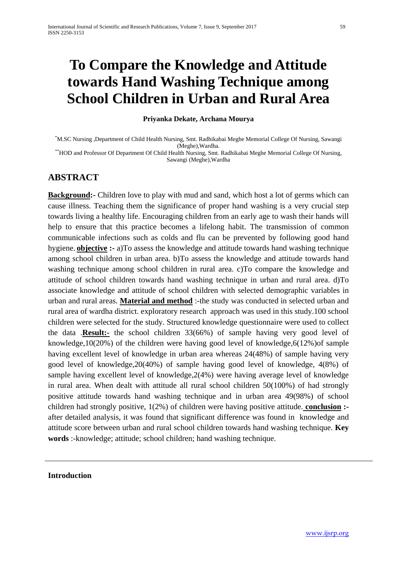# **To Compare the Knowledge and Attitude towards Hand Washing Technique among School Children in Urban and Rural Area**

**Priyanka Dekate, Archana Mourya**

\* M.SC Nursing ,Department of Child Health Nursing, Smt. Radhikabai Meghe Memorial College Of Nursing, Sawangi (Meghe),Wardha. \*\*HOD and Professor Of Department Of Child Health Nursing, Smt. Radhikabai Meghe Memorial College Of Nursing,

Sawangi (Meghe),Wardha

# **ABSTRACT**

**Background:-** Children love to play with mud and sand, which host a lot of germs which can cause illness. Teaching them the significance of proper hand washing is a very crucial step towards living a healthy life. Encouraging children from an early age to wash their hands will help to ensure that this practice becomes a lifelong habit. The transmission of common communicable infections such as colds and flu can be prevented by following good hand hygiene. **objective :-** a)To assess the knowledge and attitude towards hand washing technique among school children in urban area. b)To assess the knowledge and attitude towards hand washing technique among school children in rural area. c)To compare the knowledge and attitude of school children towards hand washing technique in urban and rural area. d)To associate knowledge and attitude of school children with selected demographic variables in urban and rural areas. **Material and method** :-the study was conducted in selected urban and rural area of wardha district. exploratory research approach was used in this study.100 school children were selected for the study. Structured knowledge questionnaire were used to collect the data .**Result:-** the school children 33(66%) of sample having very good level of knowledge,10(20%) of the children were having good level of knowledge,6(12%)of sample having excellent level of knowledge in urban area whereas 24(48%) of sample having very good level of knowledge,20(40%) of sample having good level of knowledge, 4(8%) of sample having excellent level of knowledge,2(4%) were having average level of knowledge in rural area. When dealt with attitude all rural school children 50(100%) of had strongly positive attitude towards hand washing technique and in urban area 49(98%) of school children had strongly positive, 1(2%) of children were having positive attitude. **conclusion :** after detailed analysis, it was found that significant difference was found in knowledge and attitude score between urban and rural school children towards hand washing technique. **Key words** :-knowledge; attitude; school children; hand washing technique.

## **Introduction**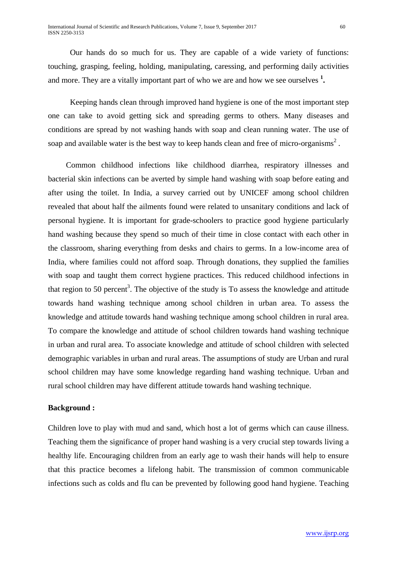Our hands do so much for us. They are capable of a wide variety of functions: touching, grasping, feeling, holding, manipulating, caressing, and performing daily activities and more. They are a vitally important part of who we are and how we see ourselves **<sup>1</sup> .**

 Keeping hands clean through improved hand hygiene is one of the most important step one can take to avoid getting sick and spreading germs to others. Many diseases and conditions are spread by not washing hands with soap and clean running water. The use of soap and available water is the best way to keep hands clean and free of micro-organisms<sup>2</sup>.

 Common childhood infections like childhood diarrhea, respiratory illnesses and bacterial skin infections can be averted by simple hand washing with soap before eating and after using the toilet. In India, a survey carried out by UNICEF among school children revealed that about half the ailments found were related to unsanitary conditions and lack of personal hygiene. It is important for grade-schoolers to practice good hygiene particularly hand washing because they spend so much of their time in close contact with each other in the classroom, sharing everything from desks and chairs to germs. In a low-income area of India, where families could not afford soap. Through donations, they supplied the families with soap and taught them correct hygiene practices. This reduced childhood infections in that region to 50 percent<sup>3</sup>. The objective of the study is To assess the knowledge and attitude towards hand washing technique among school children in urban area. To assess the knowledge and attitude towards hand washing technique among school children in rural area. To compare the knowledge and attitude of school children towards hand washing technique in urban and rural area. To associate knowledge and attitude of school children with selected demographic variables in urban and rural areas. The assumptions of study are Urban and rural school children may have some knowledge regarding hand washing technique. Urban and rural school children may have different attitude towards hand washing technique.

## **Background :**

Children love to play with mud and sand, which host a lot of germs which can cause illness. Teaching them the significance of proper hand washing is a very crucial step towards living a healthy life. Encouraging children from an early age to wash their hands will help to ensure that this practice becomes a lifelong habit. The transmission of common communicable infections such as colds and flu can be prevented by following good hand hygiene. Teaching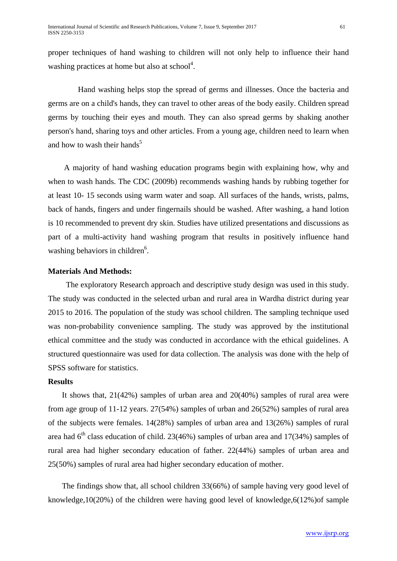proper techniques of hand washing to children will not only help to influence their hand washing practices at home but also at school<sup>4</sup>.

 Hand washing helps stop the spread of germs and illnesses. Once the bacteria and germs are on a child's hands, they can travel to other areas of the body easily. Children spread germs by touching their eyes and mouth. They can also spread germs by shaking another person's hand, sharing toys and other articles. From a young age, children need to learn when and how to wash their hands<sup>5</sup>

 A majority of hand washing education programs begin with explaining how, why and when to wash hands. The CDC (2009b) recommends washing hands by rubbing together for at least 10- 15 seconds using warm water and soap. All surfaces of the hands, wrists, palms, back of hands, fingers and under fingernails should be washed. After washing, a hand lotion is 10 recommended to prevent dry skin. Studies have utilized presentations and discussions as part of a multi-activity hand washing program that results in positively influence hand washing behaviors in children<sup>6</sup>.

## **Materials And Methods:**

 The exploratory Research approach and descriptive study design was used in this study. The study was conducted in the selected urban and rural area in Wardha district during year 2015 to 2016. The population of the study was school children. The sampling technique used was non-probability convenience sampling. The study was approved by the institutional ethical committee and the study was conducted in accordance with the ethical guidelines. A structured questionnaire was used for data collection. The analysis was done with the help of SPSS software for statistics.

## **Results**

 It shows that, 21(42%) samples of urban area and 20(40%) samples of rural area were from age group of 11-12 years. 27(54%) samples of urban and 26(52%) samples of rural area of the subjects were females.  $14(28%)$  samples of urban area and  $13(26%)$  samples of rural area had  $6<sup>th</sup>$  class education of child. 23(46%) samples of urban area and 17(34%) samples of rural area had higher secondary education of father. 22(44%) samples of urban area and 25(50%) samples of rural area had higher secondary education of mother.

 The findings show that, all school children 33(66%) of sample having very good level of knowledge,10(20%) of the children were having good level of knowledge,6(12%)of sample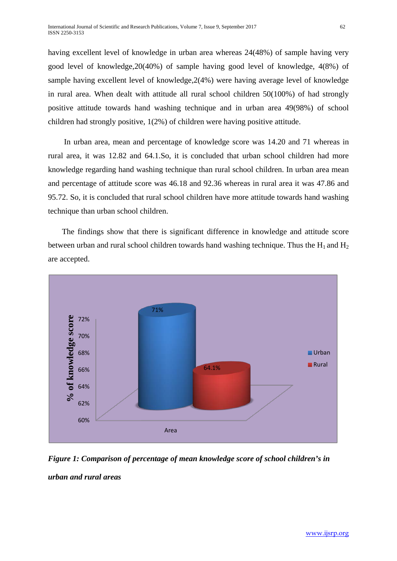having excellent level of knowledge in urban area whereas 24(48%) of sample having very good level of knowledge,20(40%) of sample having good level of knowledge, 4(8%) of sample having excellent level of knowledge,2(4%) were having average level of knowledge in rural area. When dealt with attitude all rural school children 50(100%) of had strongly positive attitude towards hand washing technique and in urban area 49(98%) of school children had strongly positive, 1(2%) of children were having positive attitude.

 In urban area, mean and percentage of knowledge score was 14.20 and 71 whereas in rural area, it was 12.82 and 64.1.So, it is concluded that urban school children had more knowledge regarding hand washing technique than rural school children. In urban area mean and percentage of attitude score was 46.18 and 92.36 whereas in rural area it was 47.86 and 95.72. So, it is concluded that rural school children have more attitude towards hand washing technique than urban school children.

 The findings show that there is significant difference in knowledge and attitude score between urban and rural school children towards hand washing technique. Thus the  $H_1$  and  $H_2$ are accepted.



*Figure 1: Comparison of percentage of mean knowledge score of school children's in urban and rural areas*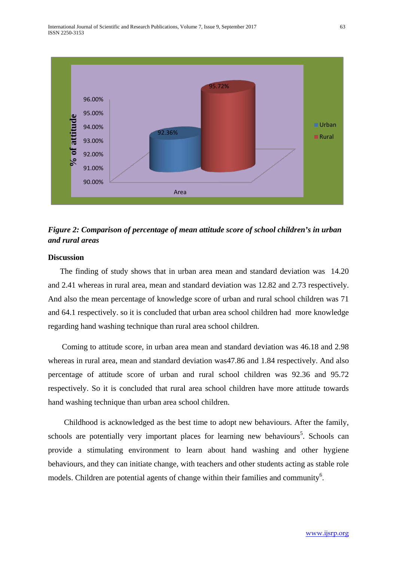

# *Figure 2: Comparison of percentage of mean attitude score of school children's in urban and rural areas*

#### **Discussion**

 The finding of study shows that in urban area mean and standard deviation was 14.20 and 2.41 whereas in rural area, mean and standard deviation was 12.82 and 2.73 respectively. And also the mean percentage of knowledge score of urban and rural school children was 71 and 64.1 respectively. so it is concluded that urban area school children had more knowledge regarding hand washing technique than rural area school children.

 Coming to attitude score, in urban area mean and standard deviation was 46.18 and 2.98 whereas in rural area, mean and standard deviation was47.86 and 1.84 respectively. And also percentage of attitude score of urban and rural school children was 92.36 and 95.72 respectively. So it is concluded that rural area school children have more attitude towards hand washing technique than urban area school children.

 Childhood is acknowledged as the best time to adopt new behaviours. After the family, schools are potentially very important places for learning new behaviours<sup>5</sup>. Schools can provide a stimulating environment to learn about hand washing and other hygiene behaviours, and they can initiate change, with teachers and other students acting as stable role models. Children are potential agents of change within their families and community<sup>6</sup>.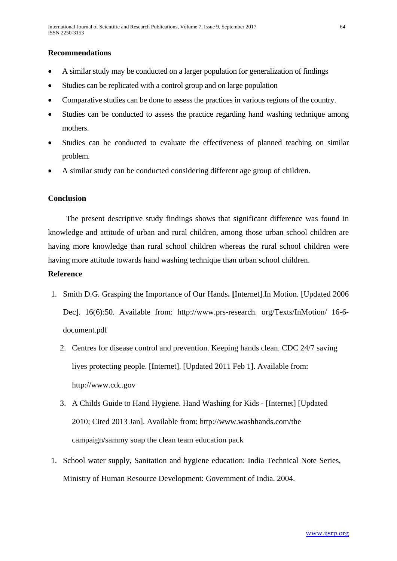# **Recommendations**

- A similar study may be conducted on a larger population for generalization of findings
- Studies can be replicated with a control group and on large population
- Comparative studies can be done to assess the practices in various regions of the country.
- Studies can be conducted to assess the practice regarding hand washing technique among mothers.
- Studies can be conducted to evaluate the effectiveness of planned teaching on similar problem.
- A similar study can be conducted considering different age group of children.

## **Conclusion**

 The present descriptive study findings shows that significant difference was found in knowledge and attitude of urban and rural children, among those urban school children are having more knowledge than rural school children whereas the rural school children were having more attitude towards hand washing technique than urban school children.

# **Reference**

- 1. Smith D.G. Grasping the Importance of Our Hands**. [**Internet].In Motion. [Updated 2006 Dec]. 16(6):50. Available from: http://www.prs-research. org/Texts/InMotion/ 16-6 document.pdf
	- 2. Centres for disease control and prevention. Keeping hands clean. CDC 24/7 saving lives protecting people. [Internet]. [Updated 2011 Feb 1]. Available from: [http://www.cdc.gov](http://www.cdc.gov/)
	- 3. A Childs Guide to Hand Hygiene. Hand Washing for Kids [Internet] [Updated 2010; Cited 2013 Jan]. Available from: http://www.washhands.com/the campaign/sammy soap the clean team education pack
- 1. School water supply, Sanitation and hygiene education: India Technical Note Series, Ministry of Human Resource Development: Government of India. 2004.